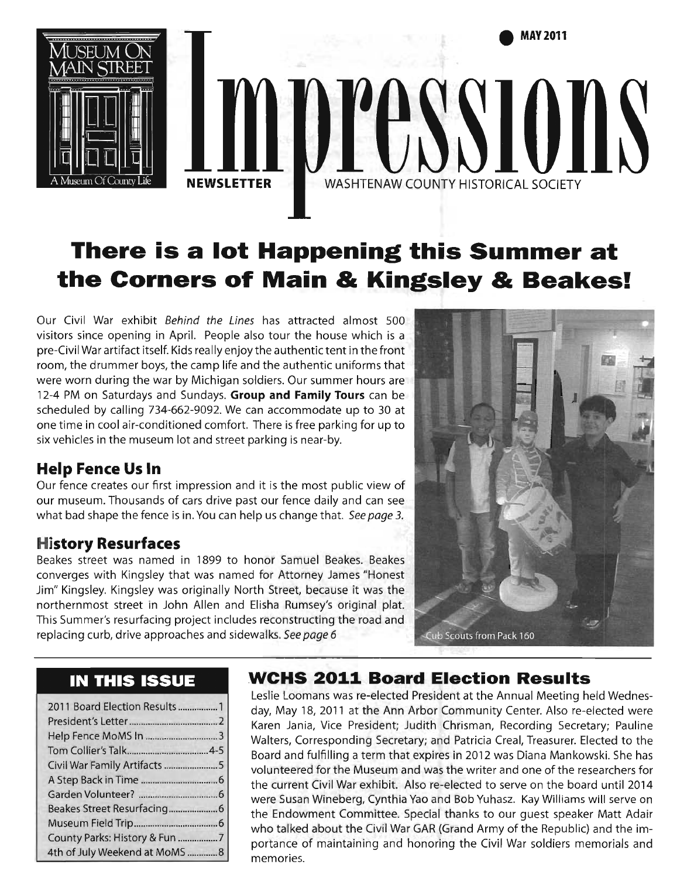

# **There is a lot Happening this Summer at the Corners of Main & Kingsley & Beakes!**

Our Civil War exhibit Behind the Lines has attracted almost 500 visitors since opening in April. People also tour the house which is a pre-Civil War artifact itself. Kids really enjoy the authentic tent in the front room, the drummer boys, the camp life and the authentic uniforms that were worn during the war by Michigan soldiers. Our summer hours are 12-4 PM on Saturdays and Sundays. **Group and Family Tours** can be scheduled by calling 734-662-9092. We can accommodate up to 30 at one time in cool air-conditioned comfort. There is free parking for up to six vehicles in the museum lot and street parking is near-by.

# **Help Fence Us In**

Our fence creates our first impression and it is the most public view of our museum. Thousands of cars drive past our fence daily and can see what bad shape the fence is in. You can help us change that. See page 3.

# **History Resurfaces**

Beakes street was named in 1899 to honor Samuel Beakes. Beakes converges with Kingsley that was named for Attorney James "Honest Jim" Kingsley. Kingsley was originally North Street, because it was the northernmost street in John Allen and Elisha Rumsey's original plat. This Summer's resurfacing project includes reconstructing the road and replacing curb, drive approaches and sidewalks. See page 6



# **IN THIS ISSUE**

| 2011 Board Election Results 1  |
|--------------------------------|
|                                |
|                                |
|                                |
|                                |
|                                |
|                                |
|                                |
|                                |
| County Parks: History & Fun 7  |
| 4th of July Weekend at MoMS  8 |

# **WCHS 2011 Board Election Results**

Leslie Loomans was re-elected President at the Annual Meeting held Wednesday, May 18, 2011 at the Ann Arbor Community Center. Also re-elected were Karen Jania, Vice President; Judith Chrisman, Recording Secretary; Pauline Walters, Corresponding Secretary; and Patricia Creal, Treasurer. Elected to the Board and fulfilling aterm that expires in 2012 was Diana Mankowski. She has volunteered for the Museum and was the writer and one of the researchers for the current Civil War exhibit. Also re-elected to serve on the board until 2014 were Susan Wineberg, Cynthia Yao and Bob Yuhasz. Kay Williams will serve on the Endowment Committee. Special thanks to our guest speaker Matt Adair who talked about the Civil War GAR (Grand Army of the Republic) and the importance of maintaining and honoring the Civil War soldiers memorials and memories.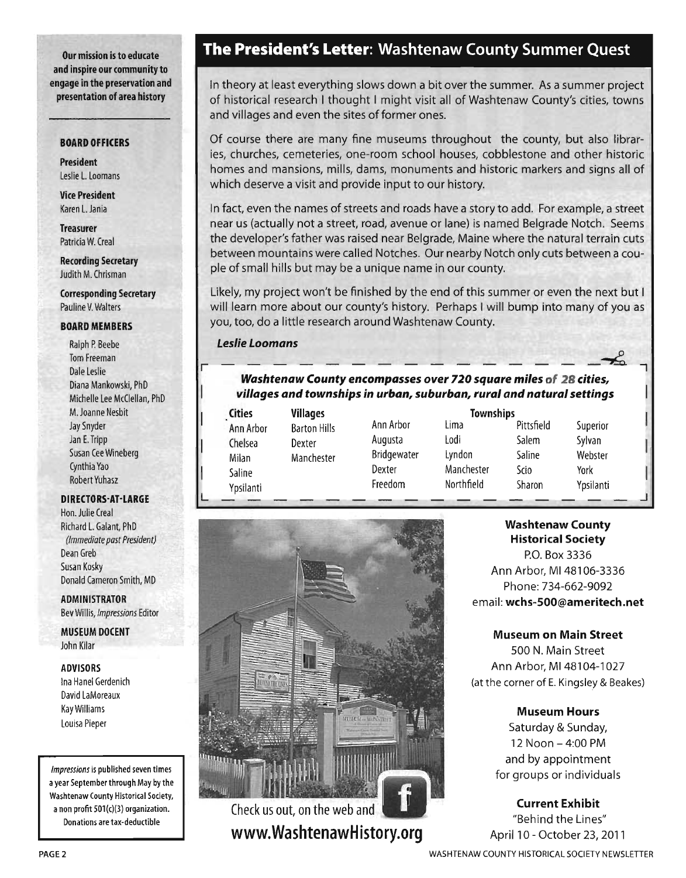Our mission is to educate and inspire our community to engage in the preservation and presentation of area history

#### BOARD OFFICERS

President Leslie l. Loomans

Vice President Karen l. Jania

Treasurer Patricia W. Creal

**Recording Secretary** Judith M. Chrisman

Corresponding Secretary Pauline V. Walters

#### BOARD MEMBERS

Ralph P. Beebe Tom Freeman Dale Leslie Diana Mankowski, PhD Michelle Lee McClellan, PhD M. Joanne Nesbit Jay Snyder Jan E. Tripp Susan Cee Wineberg Cynthia Yao Robert Yuhasz

#### DIRECTORS-AT-LARGE

Hon. Julie Creal Richard l. Galant, PhD *(Immediate past President)*  Dean Greb Susan Kosky Donald Cameron Smith, MD

ADMINISTRATOR Bev Willis, *Impressions* Editor

MUSEUM DOCENT John Kilar

#### ADVISORS

Ina Hanel Gerdenich David LaMoreaux Kay Williams Louisa Pieper

Impressions is published seven times a year September through May by the Washtenaw County Historical Society, a non profit  $501(c)(3)$  organization. Donations are tax-deductible

## **The President's Letter:** Washtenaw County Summer Quest

In theory at least everything slows down a bit over the summer. As a summer project of historical research I thought I might visit all of Washtenaw County's cities, towns and villages and even the sites of former ones.

Of course there are many fine museums throughout the county, but also libraries, churches, cemeteries, one-room school houses, cobblestone and other historic homes and mansions, mills, dams, monuments and historic markers and signs all of which deserve a visit and provide input to our history.

In fact, even the names of streets and roads have a story to add. For example, a street near us (actually not a street, road, avenue or lane) is named Belgrade Notch. Seems the developer's father was raised near Belgrade, Maine where the natural terrain cuts between mountains were called Notches. Our nearby Notch only cuts between a couple of small hills but may be a unique name in our county.

Likely, my project won't be finished by the end of this summer or even the next but I will learn more about our county's history. Perhaps I will bump into many of you as you, too, do a little research around Washtenaw County.

### *Leslie Loomans*  <u>r------------------</u>

#### *Washtenaw County encompasses over 720 square miles* of 28 *cities, vii/ages and townships in urban, suburban, rural and natural settings*

-

| <b>Cities</b>                           | <b>Villages</b>                             |                                                        |
|-----------------------------------------|---------------------------------------------|--------------------------------------------------------|
| Ann Arbor<br>Chelsea<br>Milan<br>Saline | <b>Barton Hills</b><br>Dexter<br>Manchester | Ann Arbor<br>Augusta<br>Bridgewat<br>Dexter<br>Freedom |
| Ypsilanti                               |                                             |                                                        |

L

-<br><sub>I</sub>n Hills Ann Arbor <sub>er</sub> Augusta hester Bridgewater Dexter Freedom

**Townships** 

Lima Pittsfield Superior Lodi Salem Sylvan Lyndon Saline Webster Manchester Scio York Northfield Sharon Ypsilanti  $-$ 

 $-1$ 



www.WashtenawHistory.org

Washtenaw County Historical Society

P.O. Box 3336 Ann Arbor, M148106-3336 Phone: 734-662-9092 email: wchs-SOO@ameritech.net

#### Museum on Main Street

500 N. Main Street Ann Arbor, MI 48104-1027 (at the corner of E. Kingsley & Beakes)

#### Museum Hours

Saturday & Sunday, 12 Noon - 4:00 PM and by appointment for groups or individuals

Current Exhibit "Behind the Lines" April 10 - October 23, 2011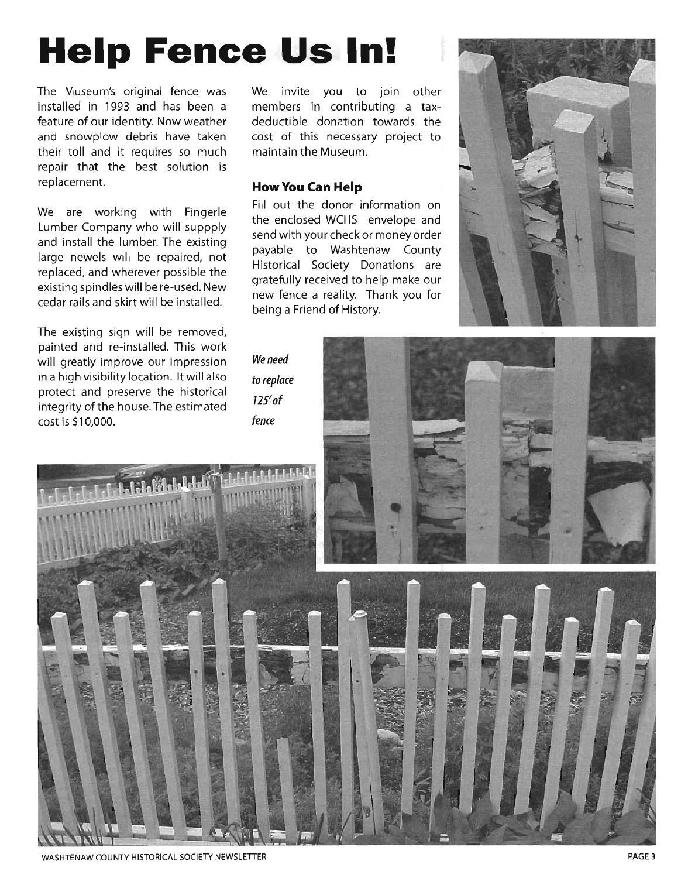# **Help Fence Us In!**

The Museum's original fence was installed in 1993 and has been a feature of our identity. Now weather and snowplow debris have taken their toll and it requires so much repair that the best solution is replacement.

We are working with Fingerle Lumber Company who will suppply and install the lumber. The existing large newels will be repaired, not replaced, and wherever possible the existing spindles will be re-used. New cedar rails and skirt will be installed.

The existing sign will be removed, painted and re-installed. This work will greatly improve our impression in a high visibility location. It will also protect and preserve the historical integrity of the house. The estimated cost is \$10,000.

We invite you to join other members in contributing a taxdeductible donation towards the cost of this necessary project to maintain the Museum.

#### **How You Can Help**

Fill out the donor information on the enclosed WCHS envelope and send with your check or money order payable to Washtenaw County Historical Society Donations are gratefully received to help make our new fence a reality. Thank you for being a Friend of History.



We need to replace *125'* of fence

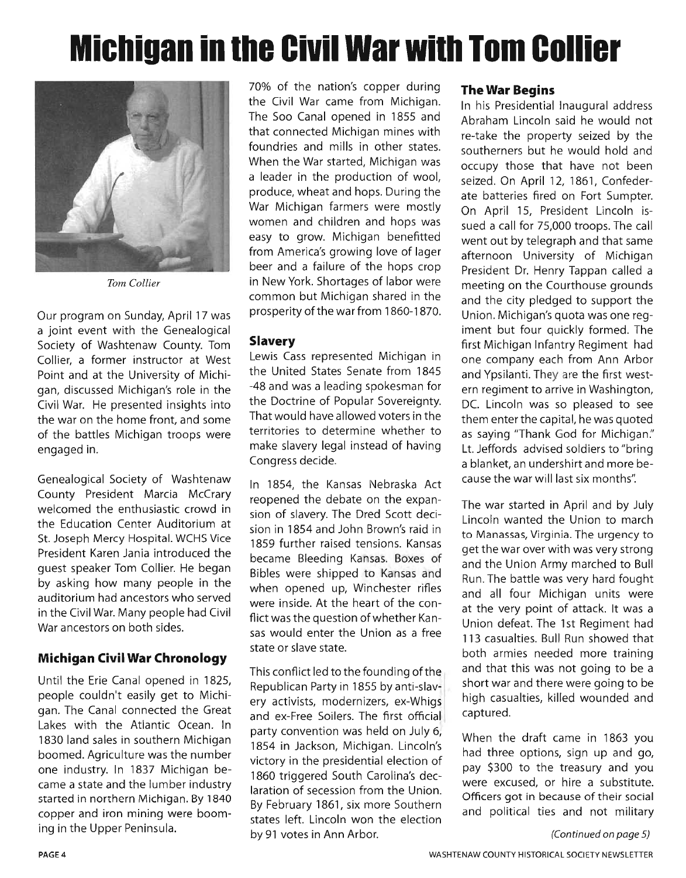# **Michigan in the Civil War with Tom Collier**



*Tom Collier* 

Our program on Sunday, April 17 was a joint event with the Genealogical Society of Washtenaw County. Tom Collier, a former instructor at West Point and at the University of Michigan, discussed Michigan's role in the Civil War. He presented insights into the war on the home front, and some of the battles Michigan troops were engaged in.

Genealogical Society of Washtenaw County President Marcia McCrary welcomed the enthusiastic crowd in the Education Center Auditorium at St. Joseph Mercy Hospital. WCHS Vice President Karen Jania introduced the guest speaker Tom Collier. He began by asking how many people in the auditorium had ancestors who served in the Civil War. Many people had Civil War ancestors on both sides.

#### **Michigan Civil War Chronology**

Until the Erie Canal opened in 1825, people couldn't easily get to Michigan. The Canal connected the Great Lakes with the Atlantic Ocean. In 1830 land sales in southern Michigan boomed. Agriculture was the number one industry. In 1837 Michigan became a state and the lumber industry started in northern Michigan. By 1840 copper and iron mining were booming in the Upper Peninsula.

70% of the nation's copper during the Civil War came from Michigan. The Soo Canal opened in 1855 and that connected Michigan mines with foundries and mills in other states. When the War started, Michigan was a leader in the production of wool, produce, wheat and hops. During the War Michigan farmers were mostly women and children and hops was easy to grow. Michigan benefitted from America's growing love of lager beer and a failure of the hops crop in New York. Shortages of labor were common but Michigan shared in the prosperity of the war from 1860-1870.

#### **Slavery**

Lewis Cass represented Michigan in the United States Senate from 1845 -48 and was a leading spokesman for the Doctrine of Popular Sovereignty. That would have allowed voters in the territories to determine whether to make slavery legal instead of having Congress decide.

In 1854, the Kansas Nebraska Act reopened the debate on the expansion of slavery. The Dred Scott decision in 1854 and John Brown's raid in 1859 further raised tensions. Kansas became Bleeding Kansas. Boxes of Bibles were shipped to Kansas and when opened up, Winchester rifles were inside. At the heart of the conflict was the question of whether Kansas would enter the Union as a free state or slave state.

This conflict led to the founding of the Republican Party in 1855 by anti-slavery activists, modernizers, ex-Whigs and ex-Free Soilers. The first official party convention was held on July 6, 1854 in Jackson, Michigan. Lincoln's victory in the presidential election of 1860 triggered South Carolina's declaration of secession from the Union. By February 1861, six more Southern states left. Lincoln won the election by 91 votes in Ann Arbor.

#### **The War Begins**

In his Presidential Inaugural address Abraham Lincoln said he would not re-take the property seized by the southerners but he would hold and occupy those that have not been seized. On April 12, 1861, Confederate batteries fired on Fort Sumpter. On April 15, President Lincoln issued a call for 75,000 troops. The call went out by telegraph and that same afternoon University of Michigan President Dr. Henry Tappan called a meeting on the Courthouse grounds and the city pledged to support the Union. Michigan's quota was one regiment but four quickly formed. The first Michigan Infantry Regiment had one company each from Ann Arbor and Ypsilanti. They are the first western regiment to arrive in Washington, DC. Lincoln was so pleased to see them enter the capital, he was quoted as saying "Thank God for Michigan." Lt. Jeffords advised soldiers to "bring a blanket, an undershirt and more because the war will last six months':

The war started in April and by July Lincoln wanted the Union to march to Manassas, Virginia. The urgency to get the war over with was very strong and the Union Army marched to Bull Run. The battle was very hard fought and all four Michigan units were at the very point of attack. It was a Union defeat. The 1st Regiment had 113 casualties. Bull Run showed that both armies needed more training and that this was not going to be a short war and there were going to be high casualties, killed wounded and captured.

When the draft came in 1863 you had three options, sign up and go, pay \$300 to the treasury and you were excused, or hire a substitute. Officers got in because of their social and political ties and not military

<sup>(</sup>Continued on page 5)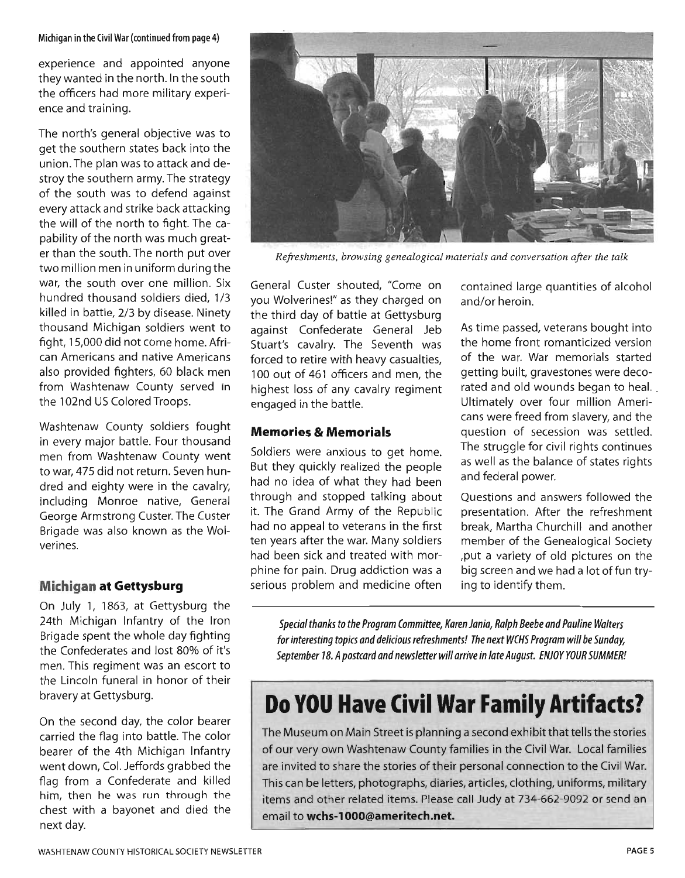#### Michigan in the Civil War (continued from page 4)

experience and appointed anyone they wanted in the north. In the south the officers had more military experience and training.

The north's general objective was to get the southern states back into the union. The plan was to attack and destroy the southern army. The strategy of the south was to defend against every attack and strike back attacking the will of the north to fight. The capability of the north was much greater than the south. The north put over two million men in uniform during the war, the south over one million. Six hundred thousand soldiers died, 1/3 killed in battle, 2/3 by disease. Ninety thousand Michigan soldiers went to fight, 15,000 did not come home. African Americans and native Americans also provided fighters, 60 black men from Washtenaw County served in the 102nd US Colored Troops.

Washtenaw County soldiers fought in every major battle. Four thousand men from Washtenaw County went to war, 475 did not return. Seven hundred and eighty were in the cavalry, including Monroe native, General George Armstrong Custer. The Custer Brigade was also known as the Wolverines.

#### **Michigan at Gettysburg**

On July 1, 1863, at Gettysburg the 24th Michigan Infantry of the Iron Brigade spent the whole day fighting the Confederates and lost 80% of it's men. This regiment was an escort to the Lincoln funeral in honor of their bravery at Gettysburg.

On the second day, the color bearer carried the flag into battle. The color bearer of the 4th Michigan Infantry went down, Col. Jeffords grabbed the flag from a Confederate and killed him, then he was run through the chest with a bayonet and died the next day.



*Refreshments, browsing genealogical materials and conversation after the talk* 

General Custer shouted, "Come on you Wolverines!" as they charged on the third day of battle at Gettysburg against Confederate General Jeb Stuart's cavalry. The Seventh was forced to retire with heavy casualties, 100 out of 461 officers and men, the highest loss of any cavalry regiment engaged in the battle.

#### **Memories & Memorials**

Soldiers were anxious to get home. But they quickly realized the people had no idea of what they had been through and stopped talking about it. The Grand Army of the Republic had no appeal to veterans in the first ten years after the war. Many soldiers had been sick and treated with morphine for pain. Drug addiction was a serious problem and medicine often

contained large quantities of alcohol and/or heroin.

As time passed, veterans bought into the home front romanticized version of the war. War memorials started getting built, gravestones were decorated and old wounds began to heal. Ultimately over four million Americans were freed from slavery, and the question of secession was settled. The struggle for civil rights continues as well as the balance of states rights and federal power.

Questions and answers followed the presentation. After the refreshment break, Martha Churchill and another member of the Genealogical Society ,put a variety of old pictures on the big screen and we had a lot of fun trying to identify them.

Special thanks to the Program Committee, Karen Jania, Ralph Beebe and Pauline Walters for interesting topics and delicious refreshments! The next WCHS Program will be Sunday, September 18. A postcard and newsletter will arrive in late August. ENiOY YOUR SUMMER!

# **Do YOU Have Civil War Family Artifacts?**

The Museum on Main Street is planning a second exhibit that tells the stories of our very own Washtenaw County families in the Civil War. Local families are invited to share the stories of their personal connection to the Civil War. This can be letters, photographs, diaries, articles, clothing, uniforms, military items and other related items. Please call Judy at 734-662-9092 or send an email **towchs-l000@ameritech.net.**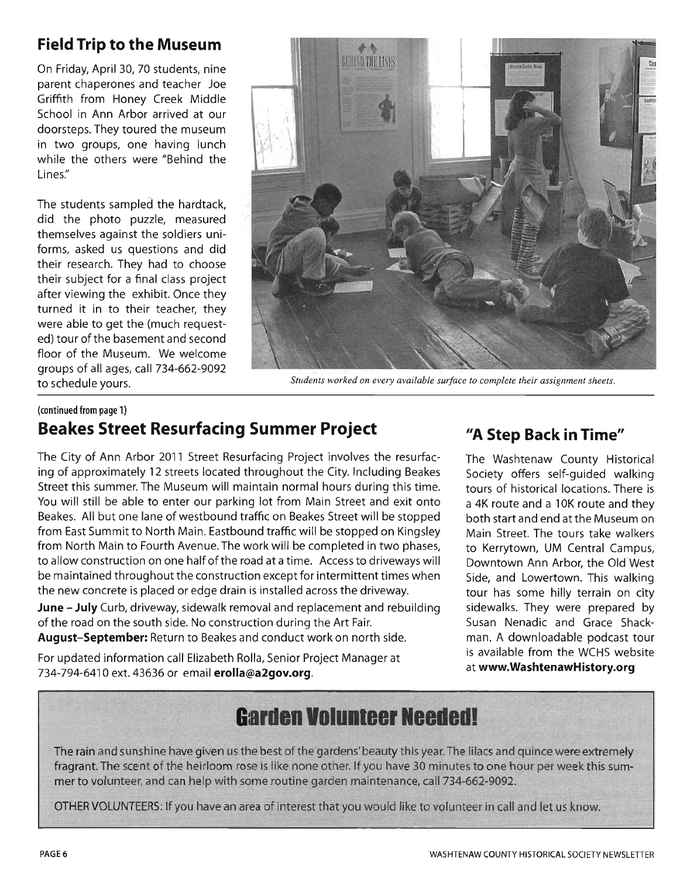# **Field Trip to the Museum**

On Friday, April 30, 70 students, nine parent chaperones and teacher Joe Griffith from Honey Creek Middle School in Ann Arbor arrived at our doorsteps. They toured the museum in two groups, one having lunch while the others were "Behind the Lines:'

The students sampled the hardtack, did the photo puzzle, measured themselves against the soldiers uniforms, asked us questions and did their research. They had to choose their subject for a final class project after viewing the exhibit. Once they turned it in to their teacher, they were able to get the (much requested) tour of the basement and second floor of the Museum. We welcome groups of all ages, call 734-662-9092



to schedule yours. *Students worked on every available surface to complete their assignment sheets.* 

### (continued from page 1) **Beakes Street Resurfacing Summer Project**

The City of Ann Arbor 2011 Street Resurfacing Project involves the resurfacing of approximately 12 streets located throughout the City. Including Beakes Street this summer. The Museum will maintain normal hours during this time. You will still be able to enter our parking lot from Main Street and exit onto Beakes. All but one lane of westbound traffic on Beakes Street will be stopped from East Summit to North Main. Eastbound traffic will be stopped on Kingsley from North Main to Fourth Avenue. The work will be completed in two phases, to allow construction on one half of the road at a time. Access to driveways will be maintained throughout the construction except for intermittent times when the new concrete is placed or edge drain is installed across the driveway.

**June - July** Curb, driveway, sidewalk removal and replacement and rebuilding of the road on the south side. No construction during the Art Fair.

August-September: Return to Beakes and conduct work on north side.

For updated information call Elizabeth Rolla, Senior Project Manager at 734-794-6410 ext. 43636 or email erolla@a2gov.org.

# *"A* **Step Back in Time"**

The Washtenaw County Historical Society offers self-guided walking tours of historical locations. There is a 4K route and a 10K route and they both start and end at the Museum on .Main Street. The tours take walkers to Kerrytown, UM Central Campus, Downtown Ann Arbor, the Old West Side, and Lowertown. This walking tour has some hilly terrain on city sidewalks. They were prepared by Susan Nenadic and Grace Shackman. A downloadable podcast tour is available from the WCHS website at www.WashtenawHistory.org

# **Garden Volunteer Neededl**

The rain and sunshine have given us the best of the gardens' beauty this year. The lilacs and quince were extremely fragrant. The scent of the heirloom rose is like none other. If you have 30 minutes to one hour per week this summer to volunteer, and can help with some routine garden maintenance, call 734-662-9092.

OTHER VOLUNTEERS: If you have an area of interest that you would like to volunteer in call and let us know.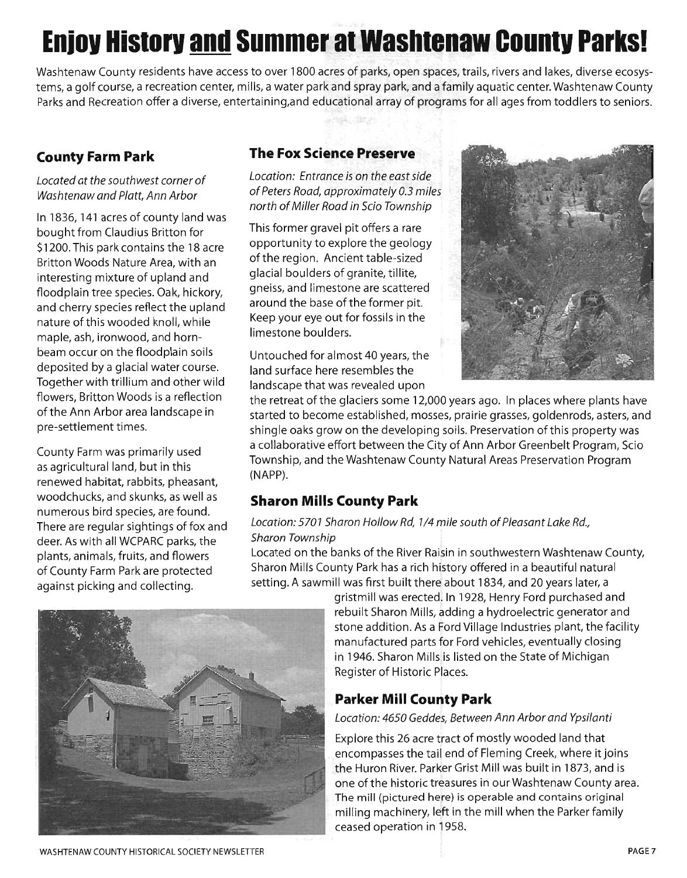# **Eniov Historv and Summer at Washtenaw Countv Parks!**

Washtenaw County residents have access to over 1800 acres of parks, open spaces, trails, rivers and lakes, diverse ecosystems, a golf course, a recreation center, mills, a water park and spray park, and a family aquatic center. Washtenaw County Parks and Recreation offer a diverse, entertaining,and educational array of programs for all ages from toddlers to seniors.

## **County Farm Park**

Located at the southwest corner of Washtenaw and Platt, Ann Arbor

In 1836, 141 acres of county land was bought from Claudius Britton for \$1200. This park contains the 18 acre Britton Woods Nature Area, with an interesting mixture of upland and floodplain tree species. Oak, hickory, and cherry species reflect the upland nature of this wooded knoll, while maple, ash, ironwood, and hornbeam occur on the floodplain soils deposited by a glacial water course. Together with trillium and other wild flowers, Britton Woods is a reflection of the Ann Arbor area landscape in pre-settlement times.

County Farm was primarily used as agricultural land, but in this renewed habitat, rabbits, pheasant, woodchucks, and skunks, as well as numerous bird species, are found. There are regular sightings of fox and deer. As with all WCPARC parks, the plants, animals, fruits, and flowers of County Farm Park are protected against picking and collecting.

### **The Fox Science Preserve**

Location: Entrance is on the east side of Peters Road, approximately 0.3 miles north of Miller Road in Scio Township

This former gravel pit offers a rare opportunity to explore the geology of the region. Ancient table-sized glacial boulders of granite, tillite, gneiss, and limestone are scattered around the base of the former pit. Keep your eye out for fossils in the limestone boulders.

Untouched for almost 40 years, the land surface here resembles the landscape that was revealed upon



the retreat of the glaciers some 12,000 years ago. In places where plants have started to become established, mosses, prairie grasses, goldenrods, asters, and shingle oaks grow on the developing soils. Preservation of this property was a collaborative effort between the City of Ann Arbor Greenbelt Program, Scio Township, and the Washtenaw County Natural Areas Preservation Program (NAPP).

### **Sharon Mills County Park**

#### Location: 5701 Sharon Hollow Rd, 1/4 mile south of Pleasant Lake Rd., Sharon Township

Located on the banks of the River Raisin in southwestern Washtenaw County, Sharon Mills County Park has a rich history offered in a beautiful natural setting. A sawmill was first built there about 1834, and 20 years later, a



gristmill was erected. In 1928, Henry Ford purchased and rebuilt Sharon Mills, adding a hydroelectric generator and stone addition. As a Ford Village Industries plant, the facility manufactured parts for Ford vehicles, eventually closing in 1946. Sharon Mills is listed on the State of Michigan Register of Historic Places.

# **Parker Mill County Park**

#### Location: 4650 Geddes, Between Ann Arbor and Ypsilanti

Explore this 26 acre tract of mostly wooded land that encompasses the tail end of Fleming Creek, where it joins the Huron River. Parker Grist Mill was built in 1873, and is one of the historic treasures in our Washtenaw County area. The mill (pictured here) is operable and contains original milling machinery, left in the mill when the Parker family ceased operation in 1958.